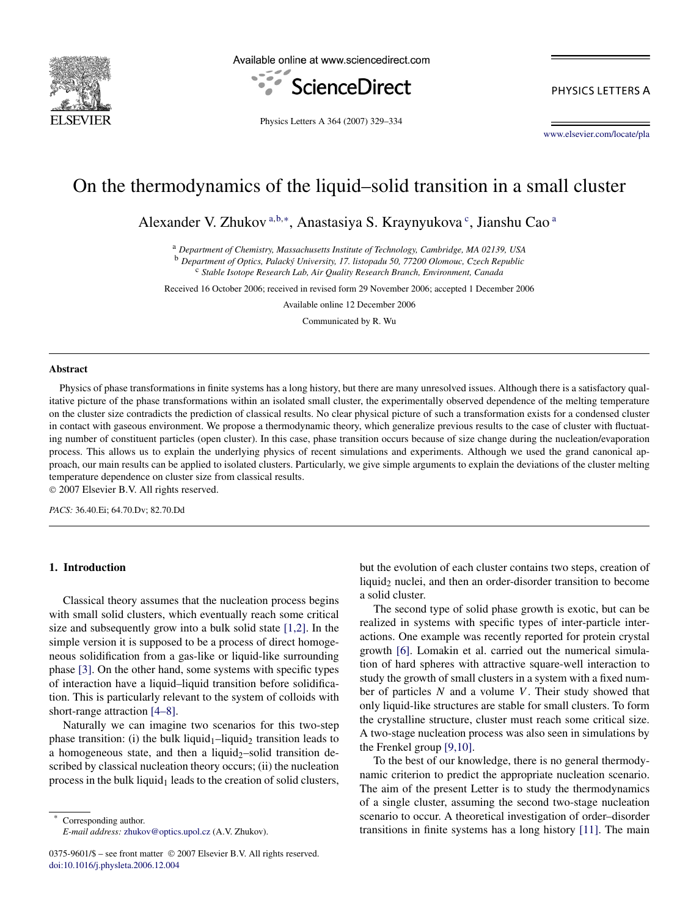

Available online at www.sciencedirect.com



PHYSICS LETTERS A

Physics Letters A 364 (2007) 329–334

[www.elsevier.com/locate/pla](http://www.elsevier.com/locate/pla)

# On the thermodynamics of the liquid–solid transition in a small cluster

Alexander V. Zhukov<sup>a,b,∗</sup>, Anastasiya S. Kraynyukova<sup>c</sup>, Jianshu Cao<sup>a</sup>

<sup>a</sup> *Department of Chemistry, Massachusetts Institute of Technology, Cambridge, MA 02139, USA*

<sup>b</sup> *Department of Optics, Palacký University, 17. listopadu 50, 77200 Olomouc, Czech Republic*

<sup>c</sup> *Stable Isotope Research Lab, Air Quality Research Branch, Environment, Canada*

Received 16 October 2006; received in revised form 29 November 2006; accepted 1 December 2006

Available online 12 December 2006

Communicated by R. Wu

#### **Abstract**

Physics of phase transformations in finite systems has a long history, but there are many unresolved issues. Although there is a satisfactory qualitative picture of the phase transformations within an isolated small cluster, the experimentally observed dependence of the melting temperature on the cluster size contradicts the prediction of classical results. No clear physical picture of such a transformation exists for a condensed cluster in contact with gaseous environment. We propose a thermodynamic theory, which generalize previous results to the case of cluster with fluctuating number of constituent particles (open cluster). In this case, phase transition occurs because of size change during the nucleation/evaporation process. This allows us to explain the underlying physics of recent simulations and experiments. Although we used the grand canonical approach, our main results can be applied to isolated clusters. Particularly, we give simple arguments to explain the deviations of the cluster melting temperature dependence on cluster size from classical results.

© 2007 Elsevier B.V. All rights reserved.

*PACS:* 36.40.Ei; 64.70.Dv; 82.70.Dd

# **1. Introduction**

Classical theory assumes that the nucleation process begins with small solid clusters, which eventually reach some critical size and subsequently grow into a bulk solid state [\[1,2\].](#page-4-0) In the simple version it is supposed to be a process of direct homogeneous solidification from a gas-like or liquid-like surrounding phase [\[3\].](#page-4-0) On the other hand, some systems with specific types of interaction have a liquid–liquid transition before solidification. This is particularly relevant to the system of colloids with short-range attraction [\[4–8\].](#page-4-0)

Naturally we can imagine two scenarios for this two-step phase transition: (i) the bulk liquid<sub>1</sub>–liquid<sub>2</sub> transition leads to a homogeneous state, and then a liquid<sub>2</sub>–solid transition described by classical nucleation theory occurs; (ii) the nucleation process in the bulk liquid $<sub>1</sub>$  leads to the creation of solid clusters,</sub>

Corresponding author. *E-mail address:* [zhukov@optics.upol.cz](mailto:zhukov@optics.upol.cz) (A.V. Zhukov).

0375-9601/\$ – see front matter © 2007 Elsevier B.V. All rights reserved. [doi:10.1016/j.physleta.2006.12.004](http://dx.doi.org/10.1016/j.physleta.2006.12.004)

but the evolution of each cluster contains two steps, creation of liquid<sub>2</sub> nuclei, and then an order-disorder transition to become a solid cluster.

The second type of solid phase growth is exotic, but can be realized in systems with specific types of inter-particle interactions. One example was recently reported for protein crystal growth [\[6\].](#page-4-0) Lomakin et al. carried out the numerical simulation of hard spheres with attractive square-well interaction to study the growth of small clusters in a system with a fixed number of particles *N* and a volume *V*. Their study showed that only liquid-like structures are stable for small clusters. To form the crystalline structure, cluster must reach some critical size. A two-stage nucleation process was also seen in simulations by the Frenkel group [\[9,10\].](#page-4-0)

To the best of our knowledge, there is no general thermodynamic criterion to predict the appropriate nucleation scenario. The aim of the present Letter is to study the thermodynamics of a single cluster, assuming the second two-stage nucleation scenario to occur. A theoretical investigation of order–disorder transitions in finite systems has a long history [\[11\].](#page-4-0) The main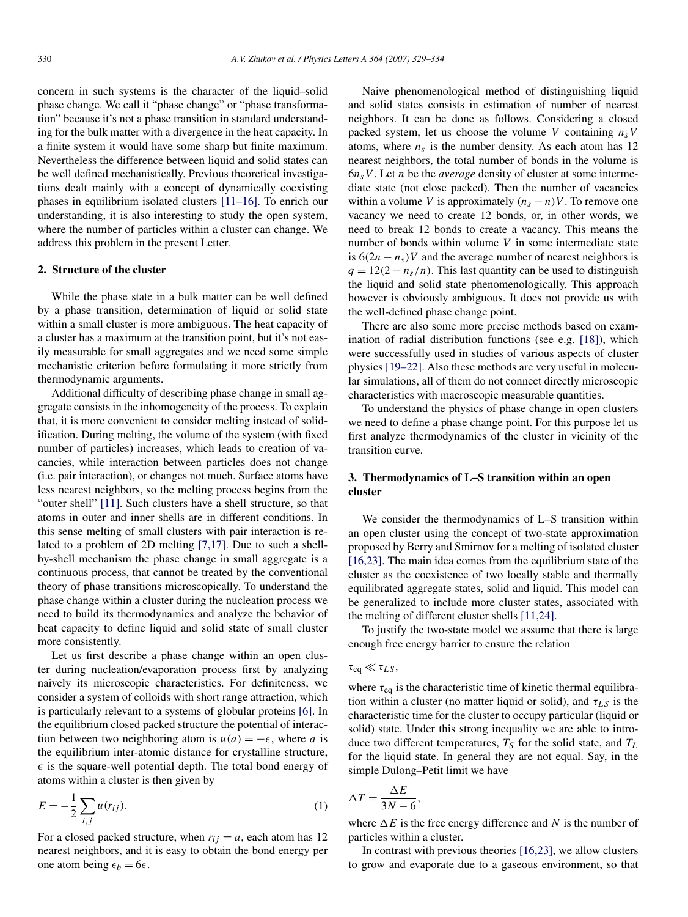concern in such systems is the character of the liquid–solid phase change. We call it "phase change" or "phase transformation" because it's not a phase transition in standard understanding for the bulk matter with a divergence in the heat capacity. In a finite system it would have some sharp but finite maximum. Nevertheless the difference between liquid and solid states can be well defined mechanistically. Previous theoretical investigations dealt mainly with a concept of dynamically coexisting phases in equilibrium isolated clusters [\[11–16\].](#page-4-0) To enrich our understanding, it is also interesting to study the open system, where the number of particles within a cluster can change. We address this problem in the present Letter.

# **2. Structure of the cluster**

While the phase state in a bulk matter can be well defined by a phase transition, determination of liquid or solid state within a small cluster is more ambiguous. The heat capacity of a cluster has a maximum at the transition point, but it's not easily measurable for small aggregates and we need some simple mechanistic criterion before formulating it more strictly from thermodynamic arguments.

Additional difficulty of describing phase change in small aggregate consists in the inhomogeneity of the process. To explain that, it is more convenient to consider melting instead of solidification. During melting, the volume of the system (with fixed number of particles) increases, which leads to creation of vacancies, while interaction between particles does not change (i.e. pair interaction), or changes not much. Surface atoms have less nearest neighbors, so the melting process begins from the "outer shell" [\[11\].](#page-4-0) Such clusters have a shell structure, so that atoms in outer and inner shells are in different conditions. In this sense melting of small clusters with pair interaction is related to a problem of 2D melting [\[7,17\].](#page-4-0) Due to such a shellby-shell mechanism the phase change in small aggregate is a continuous process, that cannot be treated by the conventional theory of phase transitions microscopically. To understand the phase change within a cluster during the nucleation process we need to build its thermodynamics and analyze the behavior of heat capacity to define liquid and solid state of small cluster more consistently.

Let us first describe a phase change within an open cluster during nucleation/evaporation process first by analyzing naively its microscopic characteristics. For definiteness, we consider a system of colloids with short range attraction, which is particularly relevant to a systems of globular proteins [\[6\].](#page-4-0) In the equilibrium closed packed structure the potential of interaction between two neighboring atom is  $u(a) = -\epsilon$ , where *a* is the equilibrium inter-atomic distance for crystalline structure,  $\epsilon$  is the square-well potential depth. The total bond energy of atoms within a cluster is then given by

$$
E = -\frac{1}{2} \sum_{i,j} u(r_{ij}).
$$
 (1)

For a closed packed structure, when  $r_{ij} = a$ , each atom has 12 nearest neighbors, and it is easy to obtain the bond energy per one atom being  $\epsilon_b = 6\epsilon$ .

Naive phenomenological method of distinguishing liquid and solid states consists in estimation of number of nearest neighbors. It can be done as follows. Considering a closed packed system, let us choose the volume *V* containing  $n<sub>s</sub>V$ atoms, where  $n<sub>s</sub>$  is the number density. As each atom has 12 nearest neighbors, the total number of bonds in the volume is  $6n<sub>s</sub>V$ . Let *n* be the *average* density of cluster at some intermediate state (not close packed). Then the number of vacancies within a volume *V* is approximately  $(n_s - n)V$ . To remove one vacancy we need to create 12 bonds, or, in other words, we need to break 12 bonds to create a vacancy. This means the number of bonds within volume *V* in some intermediate state is  $6(2n - n_s)V$  and the average number of nearest neighbors is  $q = 12(2 - n_s/n)$ . This last quantity can be used to distinguish the liquid and solid state phenomenologically. This approach however is obviously ambiguous. It does not provide us with the well-defined phase change point.

There are also some more precise methods based on examination of radial distribution functions (see e.g. [\[18\]\)](#page-4-0), which were successfully used in studies of various aspects of cluster physics [\[19–22\].](#page-4-0) Also these methods are very useful in molecular simulations, all of them do not connect directly microscopic characteristics with macroscopic measurable quantities.

To understand the physics of phase change in open clusters we need to define a phase change point. For this purpose let us first analyze thermodynamics of the cluster in vicinity of the transition curve.

# **3. Thermodynamics of L–S transition within an open cluster**

We consider the thermodynamics of L–S transition within an open cluster using the concept of two-state approximation proposed by Berry and Smirnov for a melting of isolated cluster [\[16,23\].](#page-4-0) The main idea comes from the equilibrium state of the cluster as the coexistence of two locally stable and thermally equilibrated aggregate states, solid and liquid. This model can be generalized to include more cluster states, associated with the melting of different cluster shells [\[11,24\].](#page-4-0)

To justify the two-state model we assume that there is large enough free energy barrier to ensure the relation

# $\tau_{eq} \ll \tau_{LS}$ ,

where *τ*eq is the characteristic time of kinetic thermal equilibration within a cluster (no matter liquid or solid), and *τLS* is the characteristic time for the cluster to occupy particular (liquid or solid) state. Under this strong inequality we are able to introduce two different temperatures,  $T<sub>S</sub>$  for the solid state, and  $T<sub>L</sub>$ for the liquid state. In general they are not equal. Say, in the simple Dulong–Petit limit we have

$$
\Delta T = \frac{\Delta E}{3N - 6},
$$

where  $\Delta E$  is the free energy difference and *N* is the number of particles within a cluster.

In contrast with previous theories [\[16,23\],](#page-4-0) we allow clusters to grow and evaporate due to a gaseous environment, so that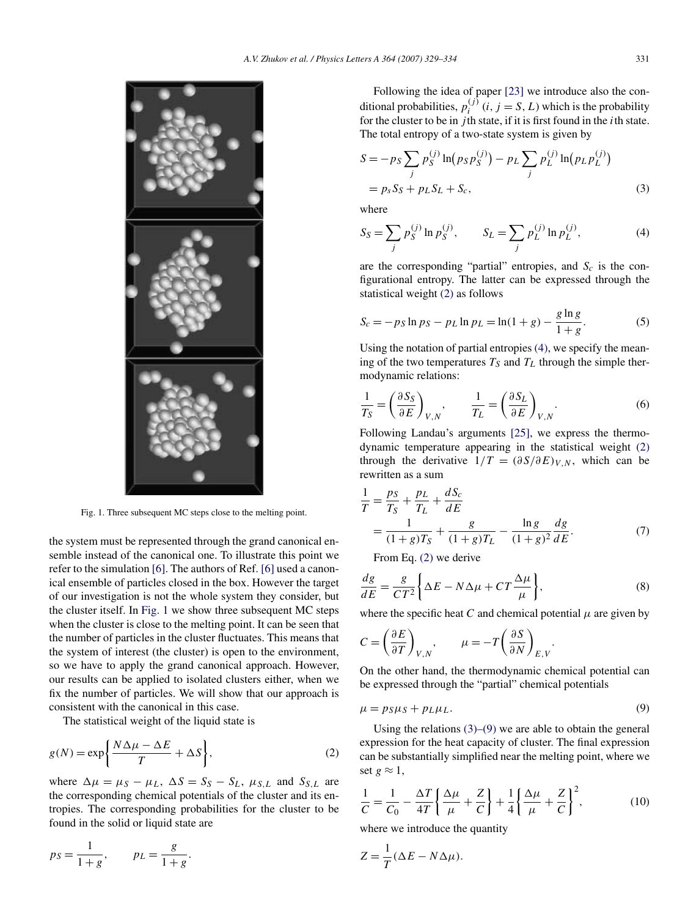<span id="page-2-0"></span>

Fig. 1. Three subsequent MC steps close to the melting point.

the system must be represented through the grand canonical ensemble instead of the canonical one. To illustrate this point we refer to the simulation [\[6\].](#page-4-0) The authors of Ref. [\[6\]](#page-4-0) used a canonical ensemble of particles closed in the box. However the target of our investigation is not the whole system they consider, but the cluster itself. In Fig. 1 we show three subsequent MC steps when the cluster is close to the melting point. It can be seen that the number of particles in the cluster fluctuates. This means that the system of interest (the cluster) is open to the environment, so we have to apply the grand canonical approach. However, our results can be applied to isolated clusters either, when we fix the number of particles. We will show that our approach is consistent with the canonical in this case.

The statistical weight of the liquid state is

$$
g(N) = \exp\left\{\frac{N\Delta\mu - \Delta E}{T} + \Delta S\right\},\tag{2}
$$

where  $\Delta \mu = \mu_S - \mu_L$ ,  $\Delta S = S_S - S_L$ ,  $\mu_{S,L}$  and  $S_{S,L}$  are the corresponding chemical potentials of the cluster and its entropies. The corresponding probabilities for the cluster to be found in the solid or liquid state are

$$
ps = \frac{1}{1+g}
$$
,  $p_L = \frac{g}{1+g}$ .

Following the idea of paper [\[23\]](#page-5-0) we introduce also the conditional probabilities,  $p_i^{(j)}$  (*i*, *j* = *S*, *L*) which is the probability for the cluster to be in  $j$ th state, if it is first found in the  $i$ th state. The total entropy of a two-state system is given by

$$
S = -p_S \sum_j p_S^{(j)} \ln(p_S p_S^{(j)}) - p_L \sum_j p_L^{(j)} \ln(p_L p_L^{(j)})
$$
  
=  $p_S S_S + p_L S_L + S_c,$  (3)

where

$$
S_S = \sum_j p_S^{(j)} \ln p_S^{(j)}, \qquad S_L = \sum_j p_L^{(j)} \ln p_L^{(j)}, \tag{4}
$$

are the corresponding "partial" entropies, and  $S_c$  is the configurational entropy. The latter can be expressed through the statistical weight (2) as follows

$$
S_c = -p_S \ln p_S - p_L \ln p_L = \ln(1+g) - \frac{g \ln g}{1+g}.
$$
 (5)

Using the notation of partial entropies (4), we specify the meaning of the two temperatures  $T_S$  and  $T_L$  through the simple thermodynamic relations:

$$
\frac{1}{T_S} = \left(\frac{\partial S_S}{\partial E}\right)_{V,N}, \qquad \frac{1}{T_L} = \left(\frac{\partial S_L}{\partial E}\right)_{V,N}.
$$
\n(6)

Following Landau's arguments [\[25\],](#page-5-0) we express the thermodynamic temperature appearing in the statistical weight (2) through the derivative  $1/T = (\partial S/\partial E)_{V,N}$ , which can be rewritten as a sum

$$
\frac{1}{T} = \frac{p_S}{T_S} + \frac{p_L}{T_L} + \frac{dS_c}{dE}
$$
\n
$$
= \frac{1}{(1+g)T_S} + \frac{g}{(1+g)T_L} - \frac{\ln g}{(1+g)^2} \frac{dg}{dE}.
$$
\n(7)

From Eq. (2) we derive

$$
\frac{dg}{dE} = \frac{g}{CT^2} \left\{ \Delta E - N \Delta \mu + CT \frac{\Delta \mu}{\mu} \right\},\tag{8}
$$

where the specific heat *C* and chemical potential  $\mu$  are given by

*.*

$$
C = \left(\frac{\partial E}{\partial T}\right)_{V,N}, \qquad \mu = -T \left(\frac{\partial S}{\partial N}\right)_{E,V}
$$

On the other hand, the thermodynamic chemical potential can be expressed through the "partial" chemical potentials

$$
\mu = p_S \mu_S + p_L \mu_L. \tag{9}
$$

Using the relations  $(3)$ – $(9)$  we are able to obtain the general expression for the heat capacity of cluster. The final expression can be substantially simplified near the melting point, where we set  $g \approx 1$ ,

$$
\frac{1}{C} = \frac{1}{C_0} - \frac{\Delta T}{4T} \left\{ \frac{\Delta \mu}{\mu} + \frac{Z}{C} \right\} + \frac{1}{4} \left\{ \frac{\Delta \mu}{\mu} + \frac{Z}{C} \right\}^2,\tag{10}
$$

where we introduce the quantity

$$
Z = \frac{1}{T}(\Delta E - N\Delta \mu).
$$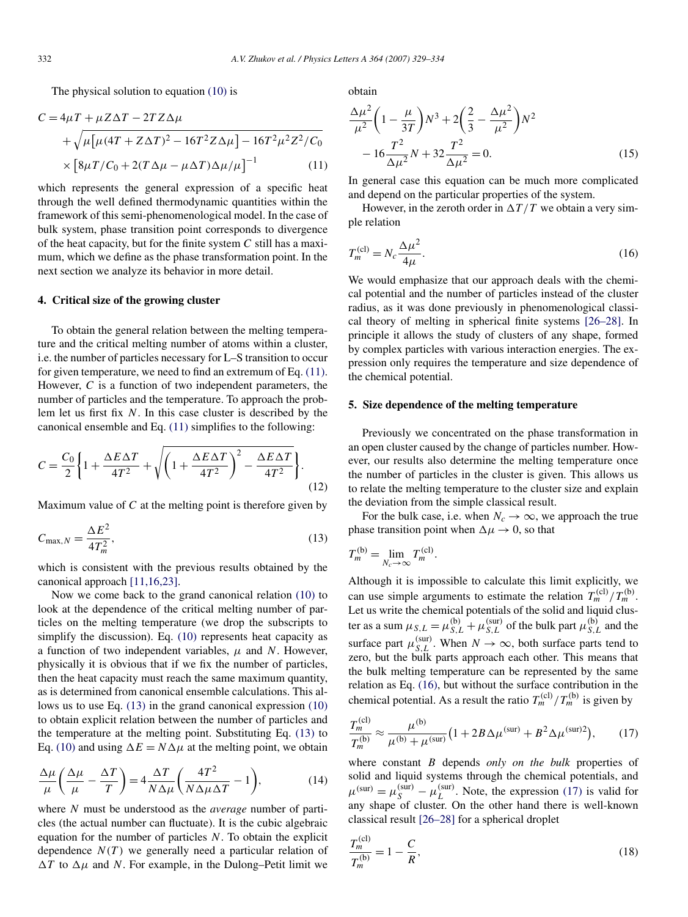<span id="page-3-0"></span>The physical solution to equation [\(10\)](#page-2-0) is

$$
C = 4\mu T + \mu Z \Delta T - 2T Z \Delta \mu
$$
  
+  $\sqrt{\mu [\mu (4T + Z\Delta T)^2 - 16T^2 Z \Delta \mu] - 16T^2 \mu^2 Z^2 / C_0}$   
×  $[8\mu T/C_0 + 2(T\Delta \mu - \mu \Delta T)\Delta \mu / \mu]^{-1}$  (11)

which represents the general expression of a specific heat through the well defined thermodynamic quantities within the framework of this semi-phenomenological model. In the case of bulk system, phase transition point corresponds to divergence of the heat capacity, but for the finite system *C* still has a maximum, which we define as the phase transformation point. In the next section we analyze its behavior in more detail.

#### **4. Critical size of the growing cluster**

To obtain the general relation between the melting temperature and the critical melting number of atoms within a cluster, i.e. the number of particles necessary for L–S transition to occur for given temperature, we need to find an extremum of Eq. (11). However, *C* is a function of two independent parameters, the number of particles and the temperature. To approach the problem let us first fix *N*. In this case cluster is described by the canonical ensemble and Eq. (11) simplifies to the following:

$$
C = \frac{C_0}{2} \left\{ 1 + \frac{\Delta E \Delta T}{4T^2} + \sqrt{\left( 1 + \frac{\Delta E \Delta T}{4T^2} \right)^2 - \frac{\Delta E \Delta T}{4T^2}} \right\}.
$$
\n(12)

Maximum value of *C* at the melting point is therefore given by

$$
C_{\max,N} = \frac{\Delta E^2}{4T_m^2},\tag{13}
$$

which is consistent with the previous results obtained by the canonical approach [\[11,16,23\].](#page-4-0)

Now we come back to the grand canonical relation [\(10\)](#page-2-0) to look at the dependence of the critical melting number of particles on the melting temperature (we drop the subscripts to simplify the discussion). Eq. [\(10\)](#page-2-0) represents heat capacity as a function of two independent variables, *μ* and *N*. However, physically it is obvious that if we fix the number of particles, then the heat capacity must reach the same maximum quantity, as is determined from canonical ensemble calculations. This allows us to use Eq. (13) in the grand canonical expression [\(10\)](#page-2-0) to obtain explicit relation between the number of particles and the temperature at the melting point. Substituting Eq. (13) to Eq. [\(10\)](#page-2-0) and using  $\Delta E = N \Delta \mu$  at the melting point, we obtain

$$
\frac{\Delta\mu}{\mu} \left( \frac{\Delta\mu}{\mu} - \frac{\Delta T}{T} \right) = 4 \frac{\Delta T}{N \Delta\mu} \left( \frac{4T^2}{N \Delta\mu \Delta T} - 1 \right),\tag{14}
$$

where *N* must be understood as the *average* number of particles (the actual number can fluctuate). It is the cubic algebraic equation for the number of particles *N*. To obtain the explicit dependence  $N(T)$  we generally need a particular relation of  $\Delta T$  to  $\Delta \mu$  and *N*. For example, in the Dulong–Petit limit we

obtain

$$
\frac{\Delta\mu^2}{\mu^2} \left( 1 - \frac{\mu}{3T} \right) N^3 + 2 \left( \frac{2}{3} - \frac{\Delta\mu^2}{\mu^2} \right) N^2 - 16 \frac{T^2}{\Delta\mu^2} N + 32 \frac{T^2}{\Delta\mu^2} = 0.
$$
\n(15)

In general case this equation can be much more complicated and depend on the particular properties of the system.

However, in the zeroth order in  $\Delta T/T$  we obtain a very simple relation

$$
T_m^{(\text{cl})} = N_c \frac{\Delta \mu^2}{4\mu}.
$$
\n(16)

We would emphasize that our approach deals with the chemical potential and the number of particles instead of the cluster radius, as it was done previously in phenomenological classical theory of melting in spherical finite systems [\[26–28\].](#page-5-0) In principle it allows the study of clusters of any shape, formed by complex particles with various interaction energies. The expression only requires the temperature and size dependence of the chemical potential.

#### **5. Size dependence of the melting temperature**

Previously we concentrated on the phase transformation in an open cluster caused by the change of particles number. However, our results also determine the melting temperature once the number of particles in the cluster is given. This allows us to relate the melting temperature to the cluster size and explain the deviation from the simple classical result.

For the bulk case, i.e. when  $N_c \to \infty$ , we approach the true phase transition point when  $\Delta \mu \rightarrow 0$ , so that

$$
T_m^{(b)} = \lim_{N_c \to \infty} T_m^{(cl)}.
$$

Although it is impossible to calculate this limit explicitly, we can use simple arguments to estimate the relation  $T_m^{(cl)} / T_m^{(b)}$ . Let us write the chemical potentials of the solid and liquid cluster as a sum  $\mu_{S,L} = \mu_{S,L}^{(b)} + \mu_{S,L}^{(\text{sur})}$  of the bulk part  $\mu_{S,L}^{(b)}$  and the surface part  $\mu_{S,L}^{(\text{sur})}$ . When  $N \to \infty$ , both surface parts tend to zero, but the bulk parts approach each other. This means that the bulk melting temperature can be represented by the same relation as Eq. (16), but without the surface contribution in the chemical potential. As a result the ratio  $T_m^{(cl)} / T_m^{(b)}$  is given by

$$
\frac{T_m^{(\text{cl})}}{T_m^{(\text{b})}} \approx \frac{\mu^{(\text{b})}}{\mu^{(\text{b})} + \mu^{(\text{sur})}} \left(1 + 2B\Delta\mu^{(\text{sur})} + B^2\Delta\mu^{(\text{sur})2}\right),\tag{17}
$$

where constant *B* depends *only on the bulk* properties of solid and liquid systems through the chemical potentials, and  $\mu^{(\text{sur})} = \mu^{(\text{sur})}_S - \mu^{(\text{sur})}_L$ . Note, the expression (17) is valid for any shape of cluster. On the other hand there is well-known classical result [\[26–28\]](#page-5-0) for a spherical droplet

$$
\frac{T_m^{(\text{cl})}}{T_m^{(\text{b})}} = 1 - \frac{C}{R},\tag{18}
$$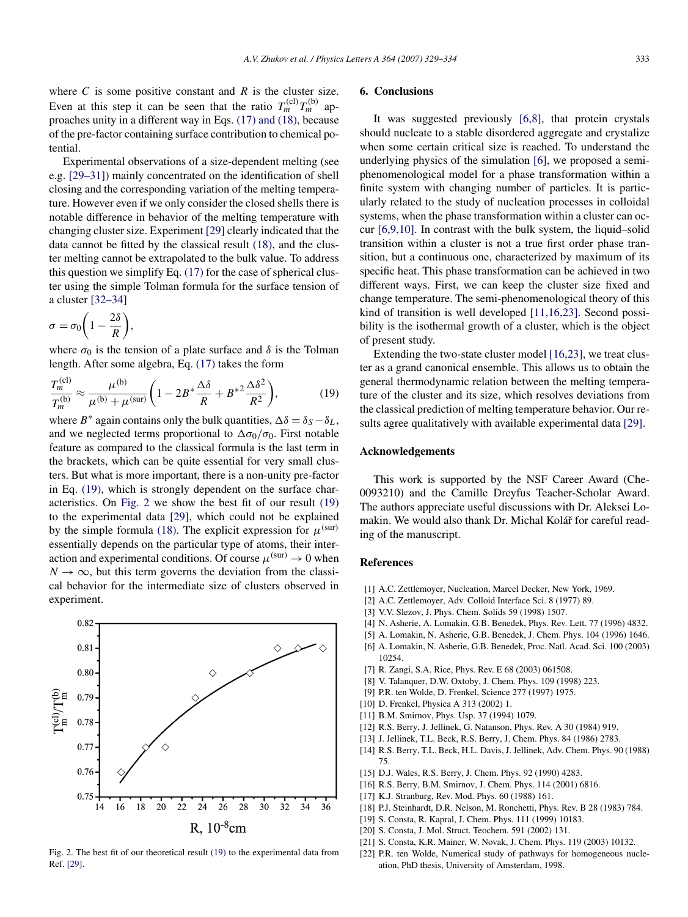<span id="page-4-0"></span>where  $C$  is some positive constant and  $R$  is the cluster size. Even at this step it can be seen that the ratio  $T_m^{(c)}T_m^{(b)}$  approaches unity in a different way in Eqs. [\(17\) and \(18\),](#page-3-0) because of the pre-factor containing surface contribution to chemical potential.

Experimental observations of a size-dependent melting (see e.g. [\[29–31\]\)](#page-5-0) mainly concentrated on the identification of shell closing and the corresponding variation of the melting temperature. However even if we only consider the closed shells there is notable difference in behavior of the melting temperature with changing cluster size. Experiment [\[29\]](#page-5-0) clearly indicated that the data cannot be fitted by the classical result [\(18\),](#page-3-0) and the cluster melting cannot be extrapolated to the bulk value. To address this question we simplify Eq. [\(17\)](#page-3-0) for the case of spherical cluster using the simple Tolman formula for the surface tension of a cluster [\[32–34\]](#page-5-0)

$$
\sigma = \sigma_0 \bigg( 1 - \frac{2\delta}{R} \bigg),
$$

where  $\sigma_0$  is the tension of a plate surface and  $\delta$  is the Tolman length. After some algebra, Eq. [\(17\)](#page-3-0) takes the form

$$
\frac{T_m^{(\text{cl})}}{T_m^{(\text{b})}} \approx \frac{\mu^{(\text{b})}}{\mu^{(\text{b})} + \mu^{(\text{sur})}} \left(1 - 2B^* \frac{\Delta \delta}{R} + B^{*2} \frac{\Delta \delta^2}{R^2}\right),\tag{19}
$$

where  $B^*$  again contains only the bulk quantities,  $\Delta \delta = \delta_S - \delta_L$ , and we neglected terms proportional to  $\Delta \sigma_0/\sigma_0$ . First notable feature as compared to the classical formula is the last term in the brackets, which can be quite essential for very small clusters. But what is more important, there is a non-unity pre-factor in Eq. (19), which is strongly dependent on the surface characteristics. On Fig. 2 we show the best fit of our result (19) to the experimental data [\[29\],](#page-5-0) which could not be explained by the simple formula [\(18\).](#page-3-0) The explicit expression for  $\mu^{\text{(sur)}}$ essentially depends on the particular type of atoms, their interaction and experimental conditions. Of course  $\mu^{(\text{sur})} \to 0$  when  $N \rightarrow \infty$ , but this term governs the deviation from the classical behavior for the intermediate size of clusters observed in experiment.



#### Fig. 2. The best fit of our theoretical result (19) to the experimental data from Ref. [\[29\].](#page-5-0)

# **6. Conclusions**

It was suggested previously [6,8], that protein crystals should nucleate to a stable disordered aggregate and crystalize when some certain critical size is reached. To understand the underlying physics of the simulation [6], we proposed a semiphenomenological model for a phase transformation within a finite system with changing number of particles. It is particularly related to the study of nucleation processes in colloidal systems, when the phase transformation within a cluster can occur [6,9,10]. In contrast with the bulk system, the liquid–solid transition within a cluster is not a true first order phase transition, but a continuous one, characterized by maximum of its specific heat. This phase transformation can be achieved in two different ways. First, we can keep the cluster size fixed and change temperature. The semi-phenomenological theory of this kind of transition is well developed [11,16,23]. Second possibility is the isothermal growth of a cluster, which is the object of present study.

Extending the two-state cluster model [16,23], we treat cluster as a grand canonical ensemble. This allows us to obtain the general thermodynamic relation between the melting temperature of the cluster and its size, which resolves deviations from the classical prediction of melting temperature behavior. Our results agree qualitatively with available experimental data [\[29\].](#page-5-0)

#### **Acknowledgements**

This work is supported by the NSF Career Award (Che-0093210) and the Camille Dreyfus Teacher-Scholar Award. The authors appreciate useful discussions with Dr. Aleksei Lomakin. We would also thank Dr. Michal Kolář for careful reading of the manuscript.

#### **References**

- [1] A.C. Zettlemoyer, Nucleation, Marcel Decker, New York, 1969.
- [2] A.C. Zettlemoyer, Adv. Colloid Interface Sci. 8 (1977) 89.
- [3] V.V. Slezov, J. Phys. Chem. Solids 59 (1998) 1507.
- [4] N. Asherie, A. Lomakin, G.B. Benedek, Phys. Rev. Lett. 77 (1996) 4832.
- [5] A. Lomakin, N. Asherie, G.B. Benedek, J. Chem. Phys. 104 (1996) 1646.
- [6] A. Lomakin, N. Asherie, G.B. Benedek, Proc. Natl. Acad. Sci. 100 (2003) 10254.
- [7] R. Zangi, S.A. Rice, Phys. Rev. E 68 (2003) 061508.
- [8] V. Talanquer, D.W. Oxtoby, J. Chem. Phys. 109 (1998) 223.
- [9] P.R. ten Wolde, D. Frenkel, Science 277 (1997) 1975.
- [10] D. Frenkel, Physica A 313 (2002) 1.
- [11] B.M. Smirnov, Phys. Usp. 37 (1994) 1079.
- [12] R.S. Berry, J. Jellinek, G. Natanson, Phys. Rev. A 30 (1984) 919.
- [13] J. Jellinek, T.L. Beck, R.S. Berry, J. Chem. Phys. 84 (1986) 2783.
- [14] R.S. Berry, T.L. Beck, H.L. Davis, J. Jellinek, Adv. Chem. Phys. 90 (1988) 75.
- [15] D.J. Wales, R.S. Berry, J. Chem. Phys. 92 (1990) 4283.
- [16] R.S. Berry, B.M. Smirnov, J. Chem. Phys. 114 (2001) 6816.
- [17] K.J. Stranburg, Rev. Mod. Phys. 60 (1988) 161.
- [18] P.J. Steinhardt, D.R. Nelson, M. Ronchetti, Phys. Rev. B 28 (1983) 784.
- [19] S. Consta, R. Kapral, J. Chem. Phys. 111 (1999) 10183.
- [20] S. Consta, J. Mol. Struct. Teochem. 591 (2002) 131.
- [21] S. Consta, K.R. Mainer, W. Novak, J. Chem. Phys. 119 (2003) 10132.
- [22] P.R. ten Wolde, Numerical study of pathways for homogeneous nucleation, PhD thesis, University of Amsterdam, 1998.